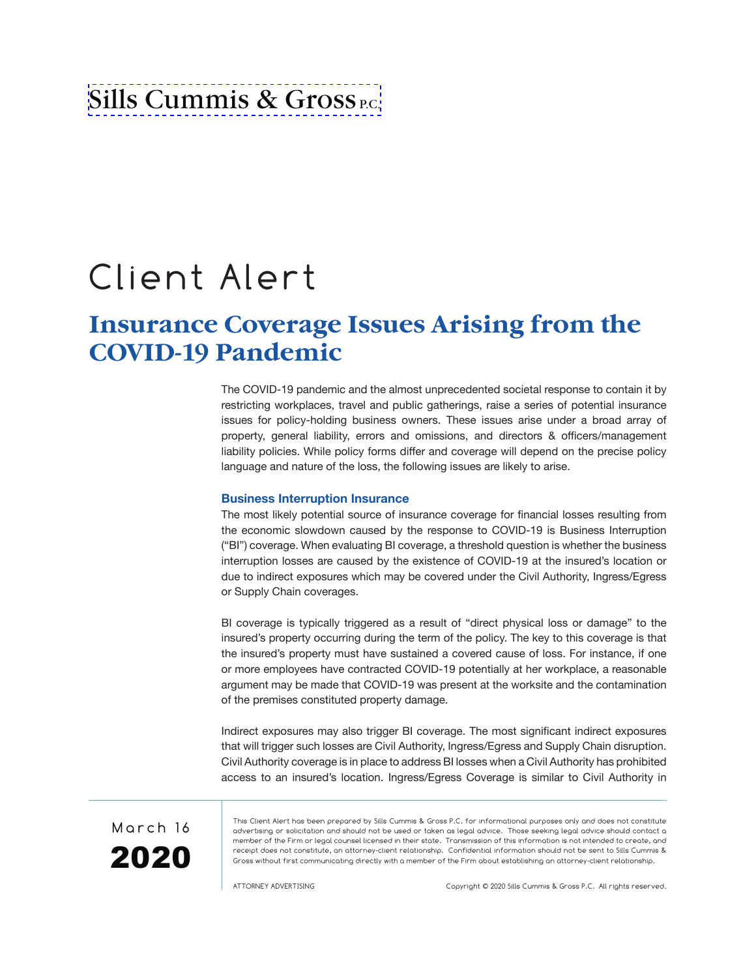### Sills Cummis & Gross<sub>P.C.</sub>

# Client Alert

### **Insurance Coverage Issues Arising from the COVID-19 Pandemic**

The COVID-19 pandemic and the almost unprecedented societal response to contain it by restricting workplaces, travel and public gatherings, raise a series of potential insurance issues for policy-holding business owners. These issues arise under a broad array of property, general liability, errors and omissions, and directors & officers/management liability policies. While policy forms differ and coverage will depend on the precise policy language and nature of the loss, the following issues are likely to arise.

#### **Business Interruption Insurance**

The most likely potential source of insurance coverage for financial losses resulting from the economic slowdown caused by the response to COVID-19 is Business Interruption ("BI") coverage. When evaluating BI coverage, a threshold question is whether the business interruption losses are caused by the existence of COVID-19 at the insured's location or due to indirect exposures which may be covered under the Civil Authority, Ingress/Egress or Supply Chain coverages.

BI coverage is typically triggered as a result of "direct physical loss or damage" to the insured's property occurring during the term of the policy. The key to this coverage is that the insured's property must have sustained a covered cause of loss. For instance, if one or more employees have contracted COVID-19 potentially at her workplace, a reasonable argument may be made that COVID-19 was present at the worksite and the contamination of the premises constituted property damage.

Indirect exposures may also trigger BI coverage. The most significant indirect exposures that will trigger such losses are Civil Authority, Ingress/Egress and Supply Chain disruption. Civil Authority coverage is in place to address BI losses when a Civil Authority has prohibited access to an insured's location. Ingress/Egress Coverage is similar to Civil Authority in



This Client Alert has been prepared by Sills Cummis & Gross P.C. for informational purposes only and does not constitute advertising or solicitation and should not be used or taken as legal advice. Those seeking legal advice should contact a member of the Firm or legal counsel licensed in their state. Transmission of this information is not intended to create, and receipt does not constitute, an attorney-client relationship. Confidential information should not be sent to Sills Cummis & Gross without first communicating directly with a member of the Firm about establishing an attorney-client relationship.

ATTORNEY ADVERTISING Copyright © 2020 Sills Cummis & Gross P.C. All rights reserved.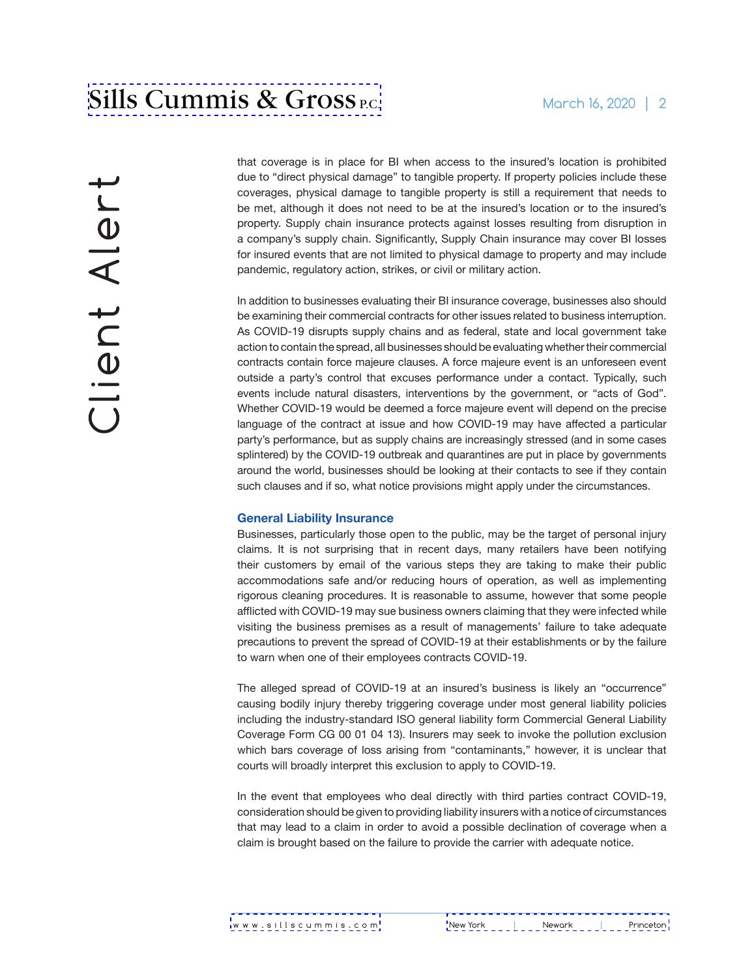## Sills Cummis & Gross<sub>P.C.</sub>

that coverage is in place for BI when access to the insured's location is prohibited due to "direct physical damage" to tangible property. If property policies include these coverages, physical damage to tangible property is still a requirement that needs to be met, although it does not need to be at the insured's location or to the insured's property. Supply chain insurance protects against losses resulting from disruption in a company's supply chain. Significantly, Supply Chain insurance may cover BI losses for insured events that are not limited to physical damage to property and may include pandemic, regulatory action, strikes, or civil or military action.

In addition to businesses evaluating their BI insurance coverage, businesses also should be examining their commercial contracts for other issues related to business interruption. As COVID-19 disrupts supply chains and as federal, state and local government take action to contain the spread, all businesses should be evaluating whether their commercial contracts contain force majeure clauses. A force majeure event is an unforeseen event outside a party's control that excuses performance under a contact. Typically, such events include natural disasters, interventions by the government, or "acts of God". Whether COVID-19 would be deemed a force majeure event will depend on the precise language of the contract at issue and how COVID-19 may have affected a particular party's performance, but as supply chains are increasingly stressed (and in some cases splintered) by the COVID-19 outbreak and quarantines are put in place by governments around the world, businesses should be looking at their contacts to see if they contain such clauses and if so, what notice provisions might apply under the circumstances.

#### **General Liability Insurance**

Businesses, particularly those open to the public, may be the target of personal injury claims. It is not surprising that in recent days, many retailers have been notifying their customers by email of the various steps they are taking to make their public accommodations safe and/or reducing hours of operation, as well as implementing rigorous cleaning procedures. It is reasonable to assume, however that some people afflicted with COVID-19 may sue business owners claiming that they were infected while visiting the business premises as a result of managements' failure to take adequate precautions to prevent the spread of COVID-19 at their establishments or by the failure to warn when one of their employees contracts COVID-19.

The alleged spread of COVID-19 at an insured's business is likely an "occurrence" causing bodily injury thereby triggering coverage under most general liability policies including the industry-standard ISO general liability form Commercial General Liability Coverage Form CG 00 01 04 13). Insurers may seek to invoke the pollution exclusion which bars coverage of loss arising from "contaminants," however, it is unclear that courts will broadly interpret this exclusion to apply to COVID-19.

In the event that employees who deal directly with third parties contract COVID-19, consideration should be given to providing liability insurers with a notice of circumstances that may lead to a claim in order to avoid a possible declination of coverage when a claim is brought based on the failure to provide the carrier with adequate notice.